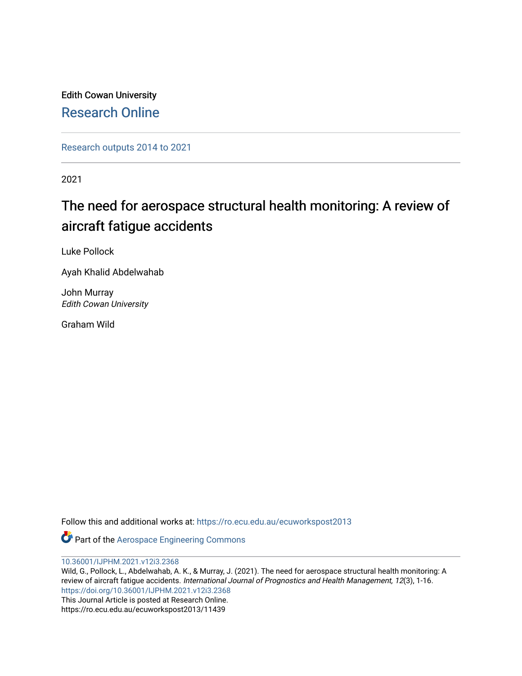Edith Cowan University [Research Online](https://ro.ecu.edu.au/) 

[Research outputs 2014 to 2021](https://ro.ecu.edu.au/ecuworkspost2013) 

2021

# The need for aerospace structural health monitoring: A review of aircraft fatigue accidents

Luke Pollock

Ayah Khalid Abdelwahab

John Murray Edith Cowan University

Graham Wild

Follow this and additional works at: [https://ro.ecu.edu.au/ecuworkspost2013](https://ro.ecu.edu.au/ecuworkspost2013?utm_source=ro.ecu.edu.au%2Fecuworkspost2013%2F11439&utm_medium=PDF&utm_campaign=PDFCoverPages) 

Part of the [Aerospace Engineering Commons](http://network.bepress.com/hgg/discipline/218?utm_source=ro.ecu.edu.au%2Fecuworkspost2013%2F11439&utm_medium=PDF&utm_campaign=PDFCoverPages)

[10.36001/IJPHM.2021.v12i3.2368](http://dx.doi.org/10.36001/IJPHM.2021.v12i3.2368) 

Wild, G., Pollock, L., Abdelwahab, A. K., & Murray, J. (2021). The need for aerospace structural health monitoring: A review of aircraft fatigue accidents. International Journal of Prognostics and Health Management, 12(3), 1-16. <https://doi.org/10.36001/IJPHM.2021.v12i3.2368> This Journal Article is posted at Research Online. https://ro.ecu.edu.au/ecuworkspost2013/11439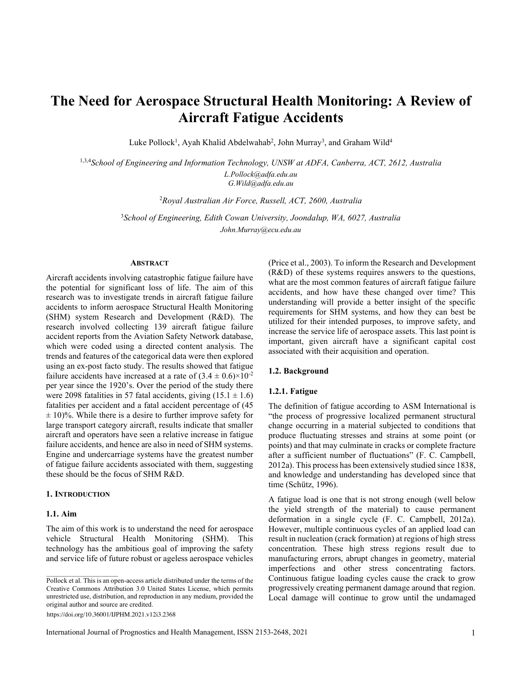# **The Need for Aerospace Structural Health Monitoring: A Review of Aircraft Fatigue Accidents**

Luke Pollock<sup>1</sup>, Ayah Khalid Abdelwahab<sup>2</sup>, John Murray<sup>3</sup>, and Graham Wild<sup>4</sup>

1,3,4*School of Engineering and Information Technology, UNSW at ADFA, Canberra, ACT, 2612, Australia L.Pollock@adfa.edu.au*

*G.Wild@adfa.edu.au*

2 *Royal Australian Air Force, Russell, ACT, 2600, Australia*

3 *School of Engineering, Edith Cowan University, Joondalup, WA, 6027, Australia John.Murray@ecu.edu.au*

# **ABSTRACT**

Aircraft accidents involving catastrophic fatigue failure have the potential for significant loss of life. The aim of this research was to investigate trends in aircraft fatigue failure accidents to inform aerospace Structural Health Monitoring (SHM) system Research and Development (R&D). The research involved collecting 139 aircraft fatigue failure accident reports from the Aviation Safety Network database, which were coded using a directed content analysis. The trends and features of the categorical data were then explored using an ex-post facto study. The results showed that fatigue failure accidents have increased at a rate of  $(3.4 \pm 0.6) \times 10^{-2}$ per year since the 1920's. Over the period of the study there were 2098 fatalities in 57 fatal accidents, giving  $(15.1 \pm 1.6)$ fatalities per accident and a fatal accident percentage of (45  $\pm$  10)%. While there is a desire to further improve safety for large transport category aircraft, results indicate that smaller aircraft and operators have seen a relative increase in fatigue failure accidents, and hence are also in need of SHM systems. Engine and undercarriage systems have the greatest number of fatigue failure accidents associated with them, suggesting these should be the focus of SHM R&D.

# **1. INTRODUCTION**

# **1.1. Aim**

The aim of this work is to understand the need for aerospace vehicle Structural Health Monitoring (SHM). This technology has the ambitious goal of improving the safety and service life of future robust or ageless aerospace vehicles

https://doi.org/10.36001/IJPHM.2021.v12i3.2368

(Price et al., 2003). To inform the Research and Development (R&D) of these systems requires answers to the questions, what are the most common features of aircraft fatigue failure accidents, and how have these changed over time? This understanding will provide a better insight of the specific requirements for SHM systems, and how they can best be utilized for their intended purposes, to improve safety, and increase the service life of aerospace assets. This last point is important, given aircraft have a significant capital cost associated with their acquisition and operation.

# **1.2. Background**

#### **1.2.1. Fatigue**

The definition of fatigue according to ASM International is "the process of progressive localized permanent structural change occurring in a material subjected to conditions that produce fluctuating stresses and strains at some point (or points) and that may culminate in cracks or complete fracture after a sufficient number of fluctuations" (F. C. Campbell, 2012a). This process has been extensively studied since 1838, and knowledge and understanding has developed since that time (Schütz, 1996).

A fatigue load is one that is not strong enough (well below the yield strength of the material) to cause permanent deformation in a single cycle (F. C. Campbell, 2012a). However, multiple continuous cycles of an applied load can result in nucleation (crack formation) at regions of high stress concentration. These high stress regions result due to manufacturing errors, abrupt changes in geometry, material imperfections and other stress concentrating factors. Continuous fatigue loading cycles cause the crack to grow progressively creating permanent damage around that region. Local damage will continue to grow until the undamaged

Pollock et al. This is an open-access article distributed under the terms of the Creative Commons Attribution 3.0 United States License, which permits unrestricted use, distribution, and reproduction in any medium, provided the original author and source are credited.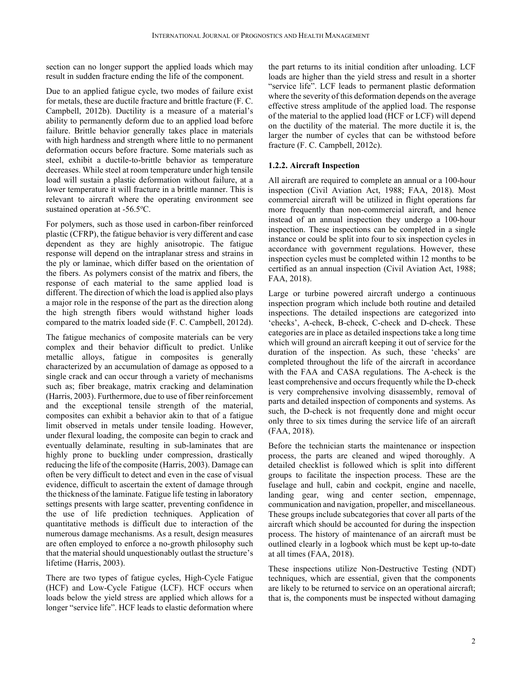section can no longer support the applied loads which may result in sudden fracture ending the life of the component.

Due to an applied fatigue cycle, two modes of failure exist for metals, these are ductile fracture and brittle fracture (F. C. Campbell, 2012b). Ductility is a measure of a material's ability to permanently deform due to an applied load before failure. Brittle behavior generally takes place in materials with high hardness and strength where little to no permanent deformation occurs before fracture. Some materials such as steel, exhibit a ductile-to-brittle behavior as temperature decreases. While steel at room temperature under high tensile load will sustain a plastic deformation without failure, at a lower temperature it will fracture in a brittle manner. This is relevant to aircraft where the operating environment see sustained operation at -56.5°C.

For polymers, such as those used in carbon-fiber reinforced plastic (CFRP), the fatigue behavior is very different and case dependent as they are highly anisotropic. The fatigue response will depend on the intraplanar stress and strains in the ply or laminae, which differ based on the orientation of the fibers. As polymers consist of the matrix and fibers, the response of each material to the same applied load is different. The direction of which the load is applied also plays a major role in the response of the part as the direction along the high strength fibers would withstand higher loads compared to the matrix loaded side (F. C. Campbell, 2012d).

The fatigue mechanics of composite materials can be very complex and their behavior difficult to predict. Unlike metallic alloys, fatigue in composites is generally characterized by an accumulation of damage as opposed to a single crack and can occur through a variety of mechanisms such as; fiber breakage, matrix cracking and delamination (Harris, 2003). Furthermore, due to use of fiber reinforcement and the exceptional tensile strength of the material, composites can exhibit a behavior akin to that of a fatigue limit observed in metals under tensile loading. However, under flexural loading, the composite can begin to crack and eventually delaminate, resulting in sub-laminates that are highly prone to buckling under compression, drastically reducing the life of the composite (Harris, 2003). Damage can often be very difficult to detect and even in the case of visual evidence, difficult to ascertain the extent of damage through the thickness of the laminate. Fatigue life testing in laboratory settings presents with large scatter, preventing confidence in the use of life prediction techniques. Application of quantitative methods is difficult due to interaction of the numerous damage mechanisms. As a result, design measures are often employed to enforce a no-growth philosophy such that the material should unquestionably outlast the structure's lifetime (Harris, 2003).

There are two types of fatigue cycles, High-Cycle Fatigue (HCF) and Low-Cycle Fatigue (LCF). HCF occurs when loads below the yield stress are applied which allows for a longer "service life". HCF leads to elastic deformation where

the part returns to its initial condition after unloading. LCF loads are higher than the yield stress and result in a shorter "service life". LCF leads to permanent plastic deformation where the severity of this deformation depends on the average effective stress amplitude of the applied load. The response of the material to the applied load (HCF or LCF) will depend on the ductility of the material. The more ductile it is, the larger the number of cycles that can be withstood before fracture (F. C. Campbell, 2012c).

# **1.2.2. Aircraft Inspection**

All aircraft are required to complete an annual or a 100-hour inspection (Civil Aviation Act, 1988; FAA, 2018). Most commercial aircraft will be utilized in flight operations far more frequently than non-commercial aircraft, and hence instead of an annual inspection they undergo a 100-hour inspection. These inspections can be completed in a single instance or could be split into four to six inspection cycles in accordance with government regulations. However, these inspection cycles must be completed within 12 months to be certified as an annual inspection (Civil Aviation Act, 1988; FAA, 2018).

Large or turbine powered aircraft undergo a continuous inspection program which include both routine and detailed inspections. The detailed inspections are categorized into 'checks', A-check, B-check, C-check and D-check. These categories are in place as detailed inspections take a long time which will ground an aircraft keeping it out of service for the duration of the inspection. As such, these 'checks' are completed throughout the life of the aircraft in accordance with the FAA and CASA regulations. The A-check is the least comprehensive and occurs frequently while the D-check is very comprehensive involving disassembly, removal of parts and detailed inspection of components and systems. As such, the D-check is not frequently done and might occur only three to six times during the service life of an aircraft (FAA, 2018).

Before the technician starts the maintenance or inspection process, the parts are cleaned and wiped thoroughly. A detailed checklist is followed which is split into different groups to facilitate the inspection process. These are the fuselage and hull, cabin and cockpit, engine and nacelle, landing gear, wing and center section, empennage, communication and navigation, propeller, and miscellaneous. These groups include subcategories that cover all parts of the aircraft which should be accounted for during the inspection process. The history of maintenance of an aircraft must be outlined clearly in a logbook which must be kept up-to-date at all times (FAA, 2018).

These inspections utilize Non-Destructive Testing (NDT) techniques, which are essential, given that the components are likely to be returned to service on an operational aircraft; that is, the components must be inspected without damaging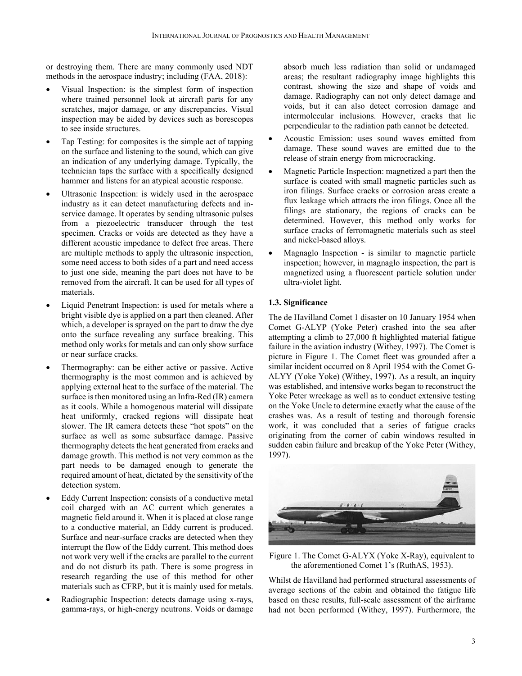or destroying them. There are many commonly used NDT methods in the aerospace industry; including (FAA, 2018):

- Visual Inspection: is the simplest form of inspection where trained personnel look at aircraft parts for any scratches, major damage, or any discrepancies. Visual inspection may be aided by devices such as borescopes to see inside structures.
- Tap Testing: for composites is the simple act of tapping on the surface and listening to the sound, which can give an indication of any underlying damage. Typically, the technician taps the surface with a specifically designed hammer and listens for an atypical acoustic response.
- Ultrasonic Inspection: is widely used in the aerospace industry as it can detect manufacturing defects and inservice damage. It operates by sending ultrasonic pulses from a piezoelectric transducer through the test specimen. Cracks or voids are detected as they have a different acoustic impedance to defect free areas. There are multiple methods to apply the ultrasonic inspection, some need access to both sides of a part and need access to just one side, meaning the part does not have to be removed from the aircraft. It can be used for all types of materials.
- Liquid Penetrant Inspection: is used for metals where a bright visible dye is applied on a part then cleaned. After which, a developer is sprayed on the part to draw the dye onto the surface revealing any surface breaking. This method only works for metals and can only show surface or near surface cracks.
- Thermography: can be either active or passive. Active thermography is the most common and is achieved by applying external heat to the surface of the material. The surface is then monitored using an Infra-Red (IR) camera as it cools. While a homogenous material will dissipate heat uniformly, cracked regions will dissipate heat slower. The IR camera detects these "hot spots" on the surface as well as some subsurface damage. Passive thermography detects the heat generated from cracks and damage growth. This method is not very common as the part needs to be damaged enough to generate the required amount of heat, dictated by the sensitivity of the detection system.
- Eddy Current Inspection: consists of a conductive metal coil charged with an AC current which generates a magnetic field around it. When it is placed at close range to a conductive material, an Eddy current is produced. Surface and near-surface cracks are detected when they interrupt the flow of the Eddy current. This method does not work very well if the cracks are parallel to the current and do not disturb its path. There is some progress in research regarding the use of this method for other materials such as CFRP, but it is mainly used for metals.
- Radiographic Inspection: detects damage using x-rays, gamma-rays, or high-energy neutrons. Voids or damage

absorb much less radiation than solid or undamaged areas; the resultant radiography image highlights this contrast, showing the size and shape of voids and damage. Radiography can not only detect damage and voids, but it can also detect corrosion damage and intermolecular inclusions. However, cracks that lie perpendicular to the radiation path cannot be detected.

- Acoustic Emission: uses sound waves emitted from damage. These sound waves are emitted due to the release of strain energy from microcracking.
- Magnetic Particle Inspection: magnetized a part then the surface is coated with small magnetic particles such as iron filings. Surface cracks or corrosion areas create a flux leakage which attracts the iron filings. Once all the filings are stationary, the regions of cracks can be determined. However, this method only works for surface cracks of ferromagnetic materials such as steel and nickel-based alloys.
- Magnaglo Inspection is similar to magnetic particle inspection; however, in magnaglo inspection, the part is magnetized using a fluorescent particle solution under ultra-violet light.

# **1.3. Significance**

The de Havilland Comet 1 disaster on 10 January 1954 when Comet G-ALYP (Yoke Peter) crashed into the sea after attempting a climb to 27,000 ft highlighted material fatigue failure in the aviation industry (Withey, 1997). The Comet is picture in Figure 1. The Comet fleet was grounded after a similar incident occurred on 8 April 1954 with the Comet G-ALYY (Yoke Yoke) (Withey, 1997). As a result, an inquiry was established, and intensive works began to reconstruct the Yoke Peter wreckage as well as to conduct extensive testing on the Yoke Uncle to determine exactly what the cause of the crashes was. As a result of testing and thorough forensic work, it was concluded that a series of fatigue cracks originating from the corner of cabin windows resulted in sudden cabin failure and breakup of the Yoke Peter (Withey, 1997).



Figure 1. The Comet G-ALYX (Yoke X-Ray), equivalent to the aforementioned Comet 1's (RuthAS, 1953).

Whilst de Havilland had performed structural assessments of average sections of the cabin and obtained the fatigue life based on these results, full-scale assessment of the airframe had not been performed (Withey, 1997). Furthermore, the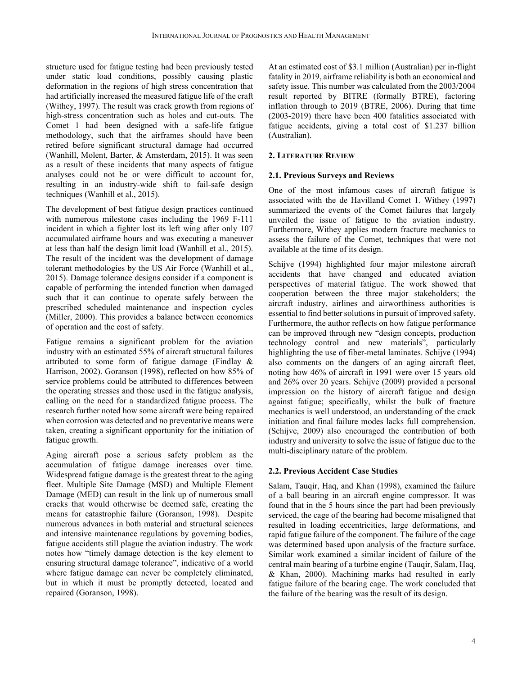structure used for fatigue testing had been previously tested under static load conditions, possibly causing plastic deformation in the regions of high stress concentration that had artificially increased the measured fatigue life of the craft (Withey, 1997). The result was crack growth from regions of high-stress concentration such as holes and cut-outs. The Comet 1 had been designed with a safe-life fatigue methodology, such that the airframes should have been retired before significant structural damage had occurred (Wanhill, Molent, Barter, & Amsterdam, 2015). It was seen as a result of these incidents that many aspects of fatigue analyses could not be or were difficult to account for, resulting in an industry-wide shift to fail-safe design techniques (Wanhill et al., 2015).

The development of best fatigue design practices continued with numerous milestone cases including the 1969 F-111 incident in which a fighter lost its left wing after only 107 accumulated airframe hours and was executing a maneuver at less than half the design limit load (Wanhill et al., 2015). The result of the incident was the development of damage tolerant methodologies by the US Air Force (Wanhill et al., 2015). Damage tolerance designs consider if a component is capable of performing the intended function when damaged such that it can continue to operate safely between the prescribed scheduled maintenance and inspection cycles (Miller, 2000). This provides a balance between economics of operation and the cost of safety.

Fatigue remains a significant problem for the aviation industry with an estimated 55% of aircraft structural failures attributed to some form of fatigue damage (Findlay & Harrison, 2002). Goranson (1998), reflected on how 85% of service problems could be attributed to differences between the operating stresses and those used in the fatigue analysis, calling on the need for a standardized fatigue process. The research further noted how some aircraft were being repaired when corrosion was detected and no preventative means were taken, creating a significant opportunity for the initiation of fatigue growth.

Aging aircraft pose a serious safety problem as the accumulation of fatigue damage increases over time. Widespread fatigue damage is the greatest threat to the aging fleet. Multiple Site Damage (MSD) and Multiple Element Damage (MED) can result in the link up of numerous small cracks that would otherwise be deemed safe, creating the means for catastrophic failure (Goranson, 1998). Despite numerous advances in both material and structural sciences and intensive maintenance regulations by governing bodies, fatigue accidents still plague the aviation industry. The work notes how "timely damage detection is the key element to ensuring structural damage tolerance", indicative of a world where fatigue damage can never be completely eliminated, but in which it must be promptly detected, located and repaired (Goranson, 1998).

At an estimated cost of \$3.1 million (Australian) per in-flight fatality in 2019, airframe reliability is both an economical and safety issue. This number was calculated from the 2003/2004 result reported by BITRE (formally BTRE), factoring inflation through to 2019 (BTRE, 2006). During that time (2003-2019) there have been 400 fatalities associated with fatigue accidents, giving a total cost of \$1.237 billion (Australian).

# **2. LITERATURE REVIEW**

# **2.1. Previous Surveys and Reviews**

One of the most infamous cases of aircraft fatigue is associated with the de Havilland Comet 1. Withey (1997) summarized the events of the Comet failures that largely unveiled the issue of fatigue to the aviation industry. Furthermore, Withey applies modern fracture mechanics to assess the failure of the Comet, techniques that were not available at the time of its design.

Schijve (1994) highlighted four major milestone aircraft accidents that have changed and educated aviation perspectives of material fatigue. The work showed that cooperation between the three major stakeholders; the aircraft industry, airlines and airworthiness authorities is essential to find better solutions in pursuit of improved safety. Furthermore, the author reflects on how fatigue performance can be improved through new "design concepts, production technology control and new materials", particularly highlighting the use of fiber-metal laminates. Schijve (1994) also comments on the dangers of an aging aircraft fleet, noting how 46% of aircraft in 1991 were over 15 years old and 26% over 20 years. Schijve (2009) provided a personal impression on the history of aircraft fatigue and design against fatigue; specifically, whilst the bulk of fracture mechanics is well understood, an understanding of the crack initiation and final failure modes lacks full comprehension. (Schijve, 2009) also encouraged the contribution of both industry and university to solve the issue of fatigue due to the multi-disciplinary nature of the problem.

# **2.2. Previous Accident Case Studies**

Salam, Tauqir, Haq, and Khan (1998), examined the failure of a ball bearing in an aircraft engine compressor. It was found that in the 5 hours since the part had been previously serviced, the cage of the bearing had become misaligned that resulted in loading eccentricities, large deformations, and rapid fatigue failure of the component. The failure of the cage was determined based upon analysis of the fracture surface. Similar work examined a similar incident of failure of the central main bearing of a turbine engine (Tauqir, Salam, Haq, & Khan, 2000). Machining marks had resulted in early fatigue failure of the bearing cage. The work concluded that the failure of the bearing was the result of its design.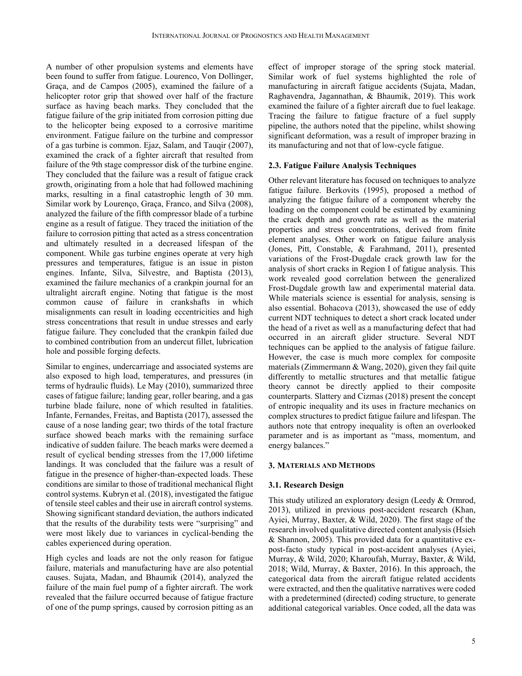A number of other propulsion systems and elements have been found to suffer from fatigue. Lourenco, Von Dollinger, Graça, and de Campos (2005), examined the failure of a helicopter rotor grip that showed over half of the fracture surface as having beach marks. They concluded that the fatigue failure of the grip initiated from corrosion pitting due to the helicopter being exposed to a corrosive maritime environment. Fatigue failure on the turbine and compressor of a gas turbine is common. Ejaz, Salam, and Tauqir (2007), examined the crack of a fighter aircraft that resulted from failure of the 9th stage compressor disk of the turbine engine. They concluded that the failure was a result of fatigue crack growth, originating from a hole that had followed machining marks, resulting in a final catastrophic length of 30 mm. Similar work by Lourenço, Graça, Franco, and Silva (2008), analyzed the failure of the fifth compressor blade of a turbine engine as a result of fatigue. They traced the initiation of the failure to corrosion pitting that acted as a stress concentration and ultimately resulted in a decreased lifespan of the component. While gas turbine engines operate at very high pressures and temperatures, fatigue is an issue in piston engines. Infante, Silva, Silvestre, and Baptista (2013), examined the failure mechanics of a crankpin journal for an ultralight aircraft engine. Noting that fatigue is the most common cause of failure in crankshafts in which misalignments can result in loading eccentricities and high stress concentrations that result in undue stresses and early fatigue failure. They concluded that the crankpin failed due to combined contribution from an undercut fillet, lubrication hole and possible forging defects.

Similar to engines, undercarriage and associated systems are also exposed to high load, temperatures, and pressures (in terms of hydraulic fluids). Le May (2010), summarized three cases of fatigue failure; landing gear, roller bearing, and a gas turbine blade failure, none of which resulted in fatalities. Infante, Fernandes, Freitas, and Baptista (2017), assessed the cause of a nose landing gear; two thirds of the total fracture surface showed beach marks with the remaining surface indicative of sudden failure. The beach marks were deemed a result of cyclical bending stresses from the 17,000 lifetime landings. It was concluded that the failure was a result of fatigue in the presence of higher-than-expected loads. These conditions are similar to those of traditional mechanical flight control systems. Kubryn et al. (2018), investigated the fatigue of tensile steel cables and their use in aircraft control systems. Showing significant standard deviation, the authors indicated that the results of the durability tests were "surprising" and were most likely due to variances in cyclical-bending the cables experienced during operation.

High cycles and loads are not the only reason for fatigue failure, materials and manufacturing have are also potential causes. Sujata, Madan, and Bhaumik (2014), analyzed the failure of the main fuel pump of a fighter aircraft. The work revealed that the failure occurred because of fatigue fracture of one of the pump springs, caused by corrosion pitting as an effect of improper storage of the spring stock material. Similar work of fuel systems highlighted the role of manufacturing in aircraft fatigue accidents (Sujata, Madan, Raghavendra, Jagannathan, & Bhaumik, 2019). This work examined the failure of a fighter aircraft due to fuel leakage. Tracing the failure to fatigue fracture of a fuel supply pipeline, the authors noted that the pipeline, whilst showing significant deformation, was a result of improper brazing in its manufacturing and not that of low-cycle fatigue.

# **2.3. Fatigue Failure Analysis Techniques**

Other relevant literature has focused on techniques to analyze fatigue failure. Berkovits (1995), proposed a method of analyzing the fatigue failure of a component whereby the loading on the component could be estimated by examining the crack depth and growth rate as well as the material properties and stress concentrations, derived from finite element analyses. Other work on fatigue failure analysis (Jones, Pitt, Constable, & Farahmand, 2011), presented variations of the Frost-Dugdale crack growth law for the analysis of short cracks in Region I of fatigue analysis. This work revealed good correlation between the generalized Frost-Dugdale growth law and experimental material data. While materials science is essential for analysis, sensing is also essential. Bohacova (2013), showcased the use of eddy current NDT techniques to detect a short crack located under the head of a rivet as well as a manufacturing defect that had occurred in an aircraft glider structure. Several NDT techniques can be applied to the analysis of fatigue failure. However, the case is much more complex for composite materials (Zimmermann & Wang, 2020), given they fail quite differently to metallic structures and that metallic fatigue theory cannot be directly applied to their composite counterparts. Slattery and Cizmas (2018) present the concept of entropic inequality and its uses in fracture mechanics on complex structures to predict fatigue failure and lifespan. The authors note that entropy inequality is often an overlooked parameter and is as important as "mass, momentum, and energy balances."

# **3. MATERIALS AND METHODS**

# **3.1. Research Design**

This study utilized an exploratory design (Leedy & Ormrod, 2013), utilized in previous post-accident research (Khan, Ayiei, Murray, Baxter, & Wild, 2020). The first stage of the research involved qualitative directed content analysis (Hsieh & Shannon, 2005). This provided data for a quantitative expost-facto study typical in post-accident analyses (Ayiei, Murray, & Wild, 2020; Kharoufah, Murray, Baxter, & Wild, 2018; Wild, Murray, & Baxter, 2016). In this approach, the categorical data from the aircraft fatigue related accidents were extracted, and then the qualitative narratives were coded with a predetermined (directed) coding structure, to generate additional categorical variables. Once coded, all the data was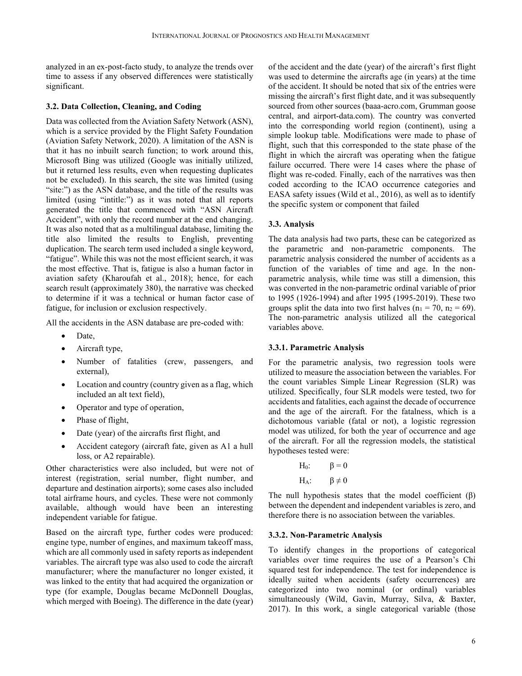analyzed in an ex-post-facto study, to analyze the trends over time to assess if any observed differences were statistically significant.

# **3.2. Data Collection, Cleaning, and Coding**

Data was collected from the Aviation Safety Network (ASN), which is a service provided by the Flight Safety Foundation (Aviation Safety Network, 2020). A limitation of the ASN is that it has no inbuilt search function; to work around this, Microsoft Bing was utilized (Google was initially utilized, but it returned less results, even when requesting duplicates not be excluded). In this search, the site was limited (using "site:") as the ASN database, and the title of the results was limited (using "intitle:") as it was noted that all reports generated the title that commenced with "ASN Aircraft Accident", with only the record number at the end changing. It was also noted that as a multilingual database, limiting the title also limited the results to English, preventing duplication. The search term used included a single keyword, "fatigue". While this was not the most efficient search, it was the most effective. That is, fatigue is also a human factor in aviation safety (Kharoufah et al., 2018); hence, for each search result (approximately 380), the narrative was checked to determine if it was a technical or human factor case of fatigue, for inclusion or exclusion respectively.

All the accidents in the ASN database are pre-coded with:

- Date.
- $\bullet$  Aircraft type,
- Number of fatalities (crew, passengers, and external),
- Location and country (country given as a flag, which included an alt text field),
- Operator and type of operation,
- Phase of flight,
- Date (year) of the aircrafts first flight, and
- Accident category (aircraft fate, given as A1 a hull loss, or A2 repairable).

Other characteristics were also included, but were not of interest (registration, serial number, flight number, and departure and destination airports); some cases also included total airframe hours, and cycles. These were not commonly available, although would have been an interesting independent variable for fatigue.

Based on the aircraft type, further codes were produced: engine type, number of engines, and maximum takeoff mass, which are all commonly used in safety reports as independent variables. The aircraft type was also used to code the aircraft manufacturer; where the manufacturer no longer existed, it was linked to the entity that had acquired the organization or type (for example, Douglas became McDonnell Douglas, which merged with Boeing). The difference in the date (year)

of the accident and the date (year) of the aircraft's first flight was used to determine the aircrafts age (in years) at the time of the accident. It should be noted that six of the entries were missing the aircraft's first flight date, and it was subsequently sourced from other sources (baaa-acro.com, Grumman goose central, and airport-data.com). The country was converted into the corresponding world region (continent), using a simple lookup table. Modifications were made to phase of flight, such that this corresponded to the state phase of the flight in which the aircraft was operating when the fatigue failure occurred. There were 14 cases where the phase of flight was re-coded. Finally, each of the narratives was then coded according to the ICAO occurrence categories and EASA safety issues (Wild et al., 2016), as well as to identify the specific system or component that failed

# **3.3. Analysis**

The data analysis had two parts, these can be categorized as the parametric and non-parametric components. The parametric analysis considered the number of accidents as a function of the variables of time and age. In the nonparametric analysis, while time was still a dimension, this was converted in the non-parametric ordinal variable of prior to 1995 (1926-1994) and after 1995 (1995-2019). These two groups split the data into two first halves ( $n_1 = 70$ ,  $n_2 = 69$ ). The non-parametric analysis utilized all the categorical variables above.

### **3.3.1. Parametric Analysis**

For the parametric analysis, two regression tools were utilized to measure the association between the variables. For the count variables Simple Linear Regression (SLR) was utilized. Specifically, four SLR models were tested, two for accidents and fatalities, each against the decade of occurrence and the age of the aircraft. For the fatalness, which is a dichotomous variable (fatal or not), a logistic regression model was utilized, for both the year of occurrence and age of the aircraft. For all the regression models, the statistical hypotheses tested were:

| $H_0$ : | $\beta = 0$    |
|---------|----------------|
| $H_A$ : | $\beta \neq 0$ |

The null hypothesis states that the model coefficient  $(\beta)$ between the dependent and independent variables is zero, and therefore there is no association between the variables.

# **3.3.2. Non-Parametric Analysis**

To identify changes in the proportions of categorical variables over time requires the use of a Pearson's Chi squared test for independence. The test for independence is ideally suited when accidents (safety occurrences) are categorized into two nominal (or ordinal) variables simultaneously (Wild, Gavin, Murray, Silva, & Baxter, 2017). In this work, a single categorical variable (those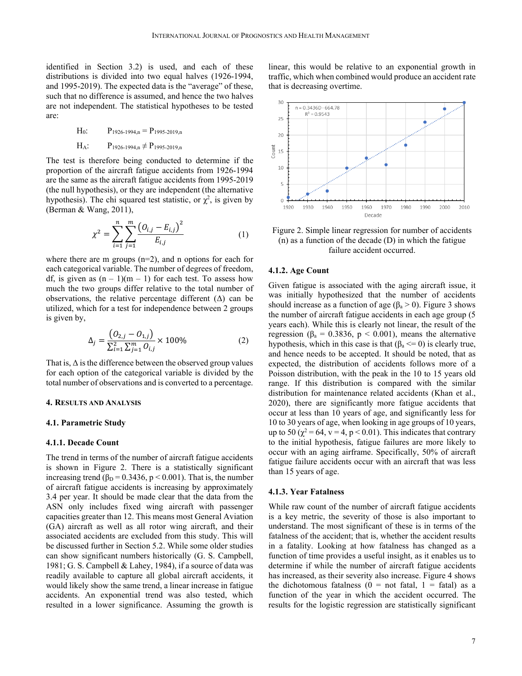identified in Section 3.2) is used, and each of these distributions is divided into two equal halves (1926-1994, and 1995-2019). The expected data is the "average" of these, such that no difference is assumed, and hence the two halves are not independent. The statistical hypotheses to be tested are:

 $H_0$ :  $P_{1926-1994 n} = P_{1995-2019 n}$ 

# $H_A$ :  $P_{1926-1994,n} \neq P_{1995-2019,n}$

The test is therefore being conducted to determine if the proportion of the aircraft fatigue accidents from 1926-1994 are the same as the aircraft fatigue accidents from 1995-2019 (the null hypothesis), or they are independent (the alternative hypothesis). The chi squared test statistic, or  $\chi^2$ , is given by (Berman & Wang, 2011),

$$
\chi^2 = \sum_{i=1}^n \sum_{j=1}^m \frac{\left(O_{i,j} - E_{i,j}\right)^2}{E_{i,j}}
$$
(1)

where there are m groups  $(n=2)$ , and n options for each for each categorical variable. The number of degrees of freedom, df, is given as  $(n - 1)(m - 1)$  for each test. To assess how much the two groups differ relative to the total number of observations, the relative percentage different  $(\Delta)$  can be utilized, which for a test for independence between 2 groups is given by,

$$
\Delta_j = \frac{\left(O_{2,j} - O_{1,j}\right)}{\sum_{i=1}^2 \sum_{j=1}^m O_{i,j}} \times 100\%
$$
\n(2)

That is,  $\Delta$  is the difference between the observed group values for each option of the categorical variable is divided by the total number of observations and is converted to a percentage.

# **4. RESULTS AND ANALYSIS**

## **4.1. Parametric Study**

# **4.1.1. Decade Count**

The trend in terms of the number of aircraft fatigue accidents is shown in Figure 2. There is a statistically significant increasing trend ( $\beta_D = 0.3436$ ,  $p < 0.001$ ). That is, the number of aircraft fatigue accidents is increasing by approximately 3.4 per year. It should be made clear that the data from the ASN only includes fixed wing aircraft with passenger capacities greater than 12. This means most General Aviation (GA) aircraft as well as all rotor wing aircraft, and their associated accidents are excluded from this study. This will be discussed further in Section 5.2. While some older studies can show significant numbers historically (G. S. Campbell, 1981; G. S. Campbell & Lahey, 1984), if a source of data was readily available to capture all global aircraft accidents, it would likely show the same trend, a linear increase in fatigue accidents. An exponential trend was also tested, which resulted in a lower significance. Assuming the growth is linear, this would be relative to an exponential growth in traffic, which when combined would produce an accident rate that is decreasing overtime.



Figure 2. Simple linear regression for number of accidents (n) as a function of the decade (D) in which the fatigue failure accident occurred.

#### **4.1.2. Age Count**

Given fatigue is associated with the aging aircraft issue, it was initially hypothesized that the number of accidents should increase as a function of age ( $\beta_a > 0$ ). Figure 3 shows the number of aircraft fatigue accidents in each age group (5 years each). While this is clearly not linear, the result of the regression ( $\beta_a = 0.3836$ ,  $p < 0.001$ ), means the alternative hypothesis, which in this case is that  $(\beta_a \leq 0)$  is clearly true, and hence needs to be accepted. It should be noted, that as expected, the distribution of accidents follows more of a Poisson distribution, with the peak in the 10 to 15 years old range. If this distribution is compared with the similar distribution for maintenance related accidents (Khan et al., 2020), there are significantly more fatigue accidents that occur at less than 10 years of age, and significantly less for 10 to 30 years of age, when looking in age groups of 10 years, up to 50 ( $\chi^2$  = 64, v = 4, p < 0.01). This indicates that contrary to the initial hypothesis, fatigue failures are more likely to occur with an aging airframe. Specifically, 50% of aircraft fatigue failure accidents occur with an aircraft that was less than 15 years of age.

#### **4.1.3. Year Fatalness**

While raw count of the number of aircraft fatigue accidents is a key metric, the severity of those is also important to understand. The most significant of these is in terms of the fatalness of the accident; that is, whether the accident results in a fatality. Looking at how fatalness has changed as a function of time provides a useful insight, as it enables us to determine if while the number of aircraft fatigue accidents has increased, as their severity also increase. Figure 4 shows the dichotomous fatalness ( $0 =$  not fatal,  $1 =$  fatal) as a function of the year in which the accident occurred. The results for the logistic regression are statistically significant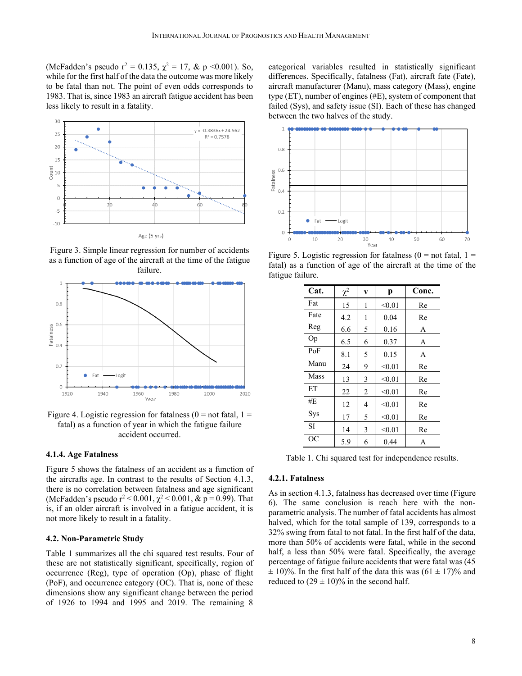(McFadden's pseudo  $r^2 = 0.135$ ,  $\chi^2 = 17$ , & p <0.001). So, while for the first half of the data the outcome was more likely to be fatal than not. The point of even odds corresponds to 1983. That is, since 1983 an aircraft fatigue accident has been less likely to result in a fatality.



Figure 3. Simple linear regression for number of accidents as a function of age of the aircraft at the time of the fatigue failure.



Figure 4. Logistic regression for fatalness ( $0 =$  not fatal,  $1 =$ fatal) as a function of year in which the fatigue failure accident occurred.

# **4.1.4. Age Fatalness**

Figure 5 shows the fatalness of an accident as a function of the aircrafts age. In contrast to the results of Section 4.1.3, there is no correlation between fatalness and age significant (McFadden's pseudo  $r^2$  < 0.001,  $\chi^2$  < 0.001, & p = 0.99). That is, if an older aircraft is involved in a fatigue accident, it is not more likely to result in a fatality.

### **4.2. Non-Parametric Study**

Table 1 summarizes all the chi squared test results. Four of these are not statistically significant, specifically, region of occurrence (Reg), type of operation (Op), phase of flight (PoF), and occurrence category (OC). That is, none of these dimensions show any significant change between the period of 1926 to 1994 and 1995 and 2019. The remaining 8 categorical variables resulted in statistically significant differences. Specifically, fatalness (Fat), aircraft fate (Fate), aircraft manufacturer (Manu), mass category (Mass), engine type (ET), number of engines (#E), system of component that failed (Sys), and safety issue (SI). Each of these has changed between the two halves of the study.



Figure 5. Logistic regression for fatalness ( $0 =$  not fatal,  $1 =$ fatal) as a function of age of the aircraft at the time of the fatigue failure.

| Cat. | $\chi^2$ | V              | p      | Conc. |
|------|----------|----------------|--------|-------|
| Fat  | 15       | 1              | < 0.01 | Re    |
| Fate | 4.2      | 1              | 0.04   | Re    |
| Reg  | 6.6      | 5              | 0.16   | А     |
| Op   | 6.5      | 6              | 0.37   | A     |
| PoF  | 8.1      | 5              | 0.15   | A     |
| Manu | 24       | 9              | < 0.01 | Re    |
| Mass | 13       | 3              | < 0.01 | Re    |
| ET   | 22       | $\overline{2}$ | < 0.01 | Re    |
| #E   | 12       | 4              | < 0.01 | Re    |
| Sys  | 17       | 5              | < 0.01 | Re    |
| SI   | 14       | 3              | < 0.01 | Re    |
| ОC   | 5.9      | 6              | 0.44   | А     |

Table 1. Chi squared test for independence results.

# **4.2.1. Fatalness**

As in section 4.1.3, fatalness has decreased over time (Figure 6). The same conclusion is reach here with the nonparametric analysis. The number of fatal accidents has almost halved, which for the total sample of 139, corresponds to a 32% swing from fatal to not fatal. In the first half of the data, more than 50% of accidents were fatal, while in the second half, a less than 50% were fatal. Specifically, the average percentage of fatigue failure accidents that were fatal was (45  $\pm$  10)%. In the first half of the data this was (61  $\pm$  17)% and reduced to  $(29 \pm 10)\%$  in the second half.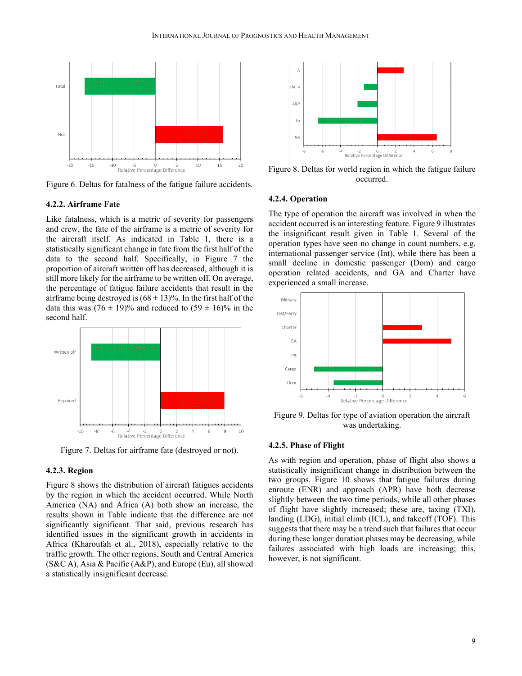

Figure 6. Deltas for fatalness of the fatigue failure accidents.

#### **4.2.2. Airframe Fate**

Like fatalness, which is a metric of severity for passengers and crew, the fate of the airframe is a metric of severity for the aircraft itself. As indicated in Table 1, there is a statistically significant change in fate from the first half of the data to the second half. Specifically, in Figure 7 the proportion of aircraft written off has decreased, although it is still more likely for the airframe to be written off. On average, the percentage of fatigue failure accidents that result in the airframe being destroyed is  $(68 \pm 13)\%$ . In the first half of the data this was  $(76 \pm 19)\%$  and reduced to  $(59 \pm 16)\%$  in the second half.



Figure 7. Deltas for airframe fate (destroyed or not).

#### **4.2.3. Region**

Figure 8 shows the distribution of aircraft fatigues accidents by the region in which the accident occurred. While North America (NA) and Africa (A) both show an increase, the results shown in Table indicate that the difference are not significantly significant. That said, previous research has identified issues in the significant growth in accidents in Africa (Kharoufah et al., 2018), especially relative to the traffic growth. The other regions, South and Central America (S&C A), Asia & Pacific (A&P), and Europe (Eu), all showed a statistically insignificant decrease.



Figure 8. Deltas for world region in which the fatigue failure occurred.

# **4.2.4. Operation**

The type of operation the aircraft was involved in when the accident occurred is an interesting feature. Figure 9 illustrates the insignificant result given in Table 1. Several of the operation types have seen no change in count numbers, e.g. international passenger service (Int), while there has been a small decline in domestic passenger (Dom) and cargo operation related accidents, and GA and Charter have experienced a small increase.



Figure 9. Deltas for type of aviation operation the aircraft was undertaking.

#### **4.2.5. Phase of Flight**

As with region and operation, phase of flight also shows a statistically insignificant change in distribution between the two groups. Figure 10 shows that fatigue failures during enroute (ENR) and approach (APR) have both decrease slightly between the two time periods, while all other phases of flight have slightly increased; these are, taxing (TXI), landing (LDG), initial climb (ICL), and takeoff (TOF). This suggests that there may be a trend such that failures that occur during these longer duration phases may be decreasing, while failures associated with high loads are increasing; this, however, is not significant.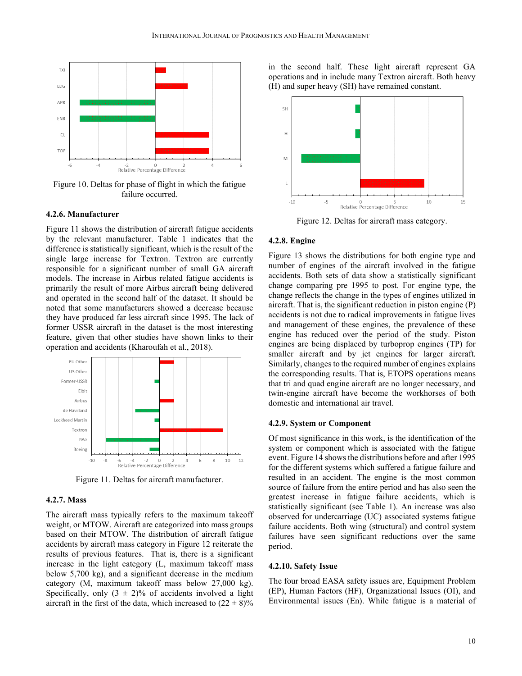

Figure 10. Deltas for phase of flight in which the fatigue failure occurred.

#### **4.2.6. Manufacturer**

Figure 11 shows the distribution of aircraft fatigue accidents by the relevant manufacturer. Table 1 indicates that the difference is statistically significant, which is the result of the single large increase for Textron. Textron are currently responsible for a significant number of small GA aircraft models. The increase in Airbus related fatigue accidents is primarily the result of more Airbus aircraft being delivered and operated in the second half of the dataset. It should be noted that some manufacturers showed a decrease because they have produced far less aircraft since 1995. The lack of former USSR aircraft in the dataset is the most interesting feature, given that other studies have shown links to their operation and accidents (Kharoufah et al., 2018).



Figure 11. Deltas for aircraft manufacturer.

# **4.2.7. Mass**

The aircraft mass typically refers to the maximum takeoff weight, or MTOW. Aircraft are categorized into mass groups based on their MTOW. The distribution of aircraft fatigue accidents by aircraft mass category in Figure 12 reiterate the results of previous features. That is, there is a significant increase in the light category (L, maximum takeoff mass below 5,700 kg), and a significant decrease in the medium category (M, maximum takeoff mass below 27,000 kg). Specifically, only  $(3 \pm 2)\%$  of accidents involved a light aircraft in the first of the data, which increased to  $(22 \pm 8)\%$ 





Figure 12. Deltas for aircraft mass category.

#### **4.2.8. Engine**

Figure 13 shows the distributions for both engine type and number of engines of the aircraft involved in the fatigue accidents. Both sets of data show a statistically significant change comparing pre 1995 to post. For engine type, the change reflects the change in the types of engines utilized in aircraft. That is, the significant reduction in piston engine (P) accidents is not due to radical improvements in fatigue lives and management of these engines, the prevalence of these engine has reduced over the period of the study. Piston engines are being displaced by turboprop engines (TP) for smaller aircraft and by jet engines for larger aircraft. Similarly, changes to the required number of engines explains the corresponding results. That is, ETOPS operations means that tri and quad engine aircraft are no longer necessary, and twin-engine aircraft have become the workhorses of both domestic and international air travel.

#### **4.2.9. System or Component**

Of most significance in this work, is the identification of the system or component which is associated with the fatigue event. Figure 14 shows the distributions before and after 1995 for the different systems which suffered a fatigue failure and resulted in an accident. The engine is the most common source of failure from the entire period and has also seen the greatest increase in fatigue failure accidents, which is statistically significant (see Table 1). An increase was also observed for undercarriage (UC) associated systems fatigue failure accidents. Both wing (structural) and control system failures have seen significant reductions over the same period.

#### **4.2.10. Safety Issue**

The four broad EASA safety issues are, Equipment Problem (EP), Human Factors (HF), Organizational Issues (OI), and Environmental issues (En). While fatigue is a material of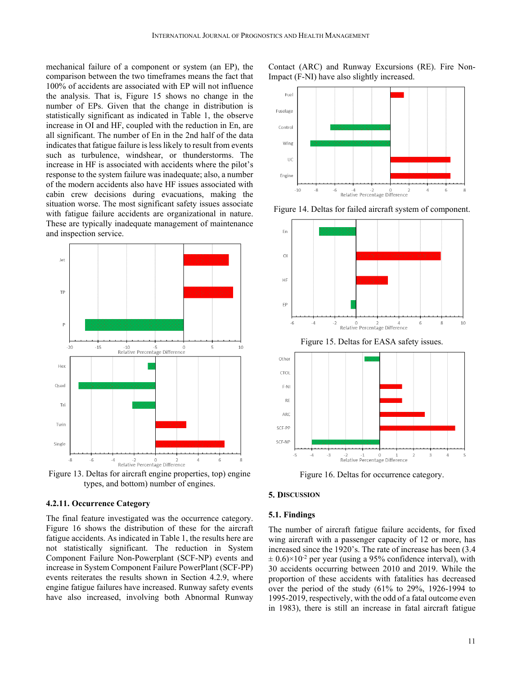mechanical failure of a component or system (an EP), the comparison between the two timeframes means the fact that 100% of accidents are associated with EP will not influence the analysis. That is, Figure 15 shows no change in the number of EPs. Given that the change in distribution is statistically significant as indicated in Table 1, the observe increase in OI and HF, coupled with the reduction in En, are all significant. The number of En in the 2nd half of the data indicates that fatigue failure is less likely to result from events such as turbulence, windshear, or thunderstorms. The increase in HF is associated with accidents where the pilot's response to the system failure was inadequate; also, a number of the modern accidents also have HF issues associated with cabin crew decisions during evacuations, making the situation worse. The most significant safety issues associate with fatigue failure accidents are organizational in nature. These are typically inadequate management of maintenance and inspection service.



Figure 13. Deltas for aircraft engine properties, top) engine types, and bottom) number of engines.

#### **4.2.11. Occurrence Category**

The final feature investigated was the occurrence category. Figure 16 shows the distribution of these for the aircraft fatigue accidents. As indicated in Table 1, the results here are not statistically significant. The reduction in System Component Failure Non-Powerplant (SCF-NP) events and increase in System Component Failure PowerPlant (SCF-PP) events reiterates the results shown in Section 4.2.9, where engine fatigue failures have increased. Runway safety events have also increased, involving both Abnormal Runway Contact (ARC) and Runway Excursions (RE). Fire Non-Impact (F-NI) have also slightly increased.



Figure 14. Deltas for failed aircraft system of component.



Figure 15. Deltas for EASA safety issues.



Figure 16. Deltas for occurrence category.

#### **5. DISCUSSION**

#### **5.1. Findings**

The number of aircraft fatigue failure accidents, for fixed wing aircraft with a passenger capacity of 12 or more, has increased since the 1920's. The rate of increase has been (3.4  $\pm$  0.6) $\times$ 10<sup>-2</sup> per year (using a 95% confidence interval), with 30 accidents occurring between 2010 and 2019. While the proportion of these accidents with fatalities has decreased over the period of the study (61% to 29%, 1926-1994 to 1995-2019, respectively, with the odd of a fatal outcome even in 1983), there is still an increase in fatal aircraft fatigue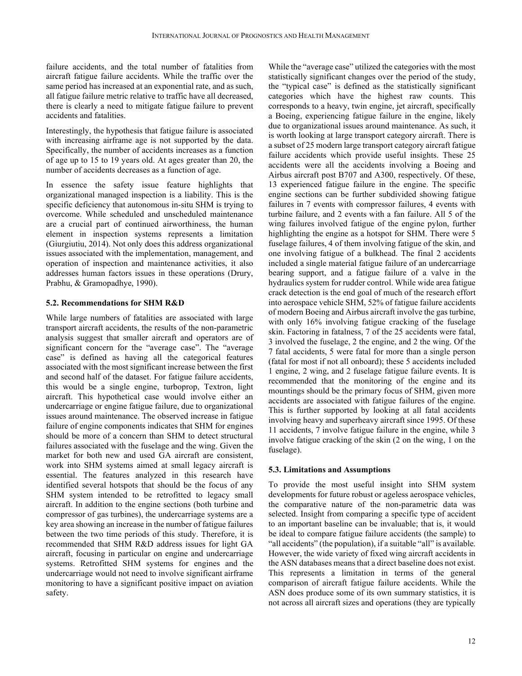failure accidents, and the total number of fatalities from aircraft fatigue failure accidents. While the traffic over the same period has increased at an exponential rate, and as such, all fatigue failure metric relative to traffic have all decreased, there is clearly a need to mitigate fatigue failure to prevent accidents and fatalities.

Interestingly, the hypothesis that fatigue failure is associated with increasing airframe age is not supported by the data. Specifically, the number of accidents increases as a function of age up to 15 to 19 years old. At ages greater than 20, the number of accidents decreases as a function of age.

In essence the safety issue feature highlights that organizational managed inspection is a liability. This is the specific deficiency that autonomous in-situ SHM is trying to overcome. While scheduled and unscheduled maintenance are a crucial part of continued airworthiness, the human element in inspection systems represents a limitation (Giurgiutiu, 2014). Not only does this address organizational issues associated with the implementation, management, and operation of inspection and maintenance activities, it also addresses human factors issues in these operations (Drury, Prabhu, & Gramopadhye, 1990).

# **5.2. Recommendations for SHM R&D**

While large numbers of fatalities are associated with large transport aircraft accidents, the results of the non-parametric analysis suggest that smaller aircraft and operators are of significant concern for the "average case". The "average case" is defined as having all the categorical features associated with the most significant increase between the first and second half of the dataset. For fatigue failure accidents, this would be a single engine, turboprop, Textron, light aircraft. This hypothetical case would involve either an undercarriage or engine fatigue failure, due to organizational issues around maintenance. The observed increase in fatigue failure of engine components indicates that SHM for engines should be more of a concern than SHM to detect structural failures associated with the fuselage and the wing. Given the market for both new and used GA aircraft are consistent, work into SHM systems aimed at small legacy aircraft is essential. The features analyzed in this research have identified several hotspots that should be the focus of any SHM system intended to be retrofitted to legacy small aircraft. In addition to the engine sections (both turbine and compressor of gas turbines), the undercarriage systems are a key area showing an increase in the number of fatigue failures between the two time periods of this study. Therefore, it is recommended that SHM R&D address issues for light GA aircraft, focusing in particular on engine and undercarriage systems. Retrofitted SHM systems for engines and the undercarriage would not need to involve significant airframe monitoring to have a significant positive impact on aviation safety.

While the "average case" utilized the categories with the most statistically significant changes over the period of the study, the "typical case" is defined as the statistically significant categories which have the highest raw counts. This corresponds to a heavy, twin engine, jet aircraft, specifically a Boeing, experiencing fatigue failure in the engine, likely due to organizational issues around maintenance. As such, it is worth looking at large transport category aircraft. There is a subset of 25 modern large transport category aircraft fatigue failure accidents which provide useful insights. These 25 accidents were all the accidents involving a Boeing and Airbus aircraft post B707 and A300, respectively. Of these, 13 experienced fatigue failure in the engine. The specific engine sections can be further subdivided showing fatigue failures in 7 events with compressor failures, 4 events with turbine failure, and 2 events with a fan failure. All 5 of the wing failures involved fatigue of the engine pylon, further highlighting the engine as a hotspot for SHM. There were 5 fuselage failures, 4 of them involving fatigue of the skin, and one involving fatigue of a bulkhead. The final 2 accidents included a single material fatigue failure of an undercarriage bearing support, and a fatigue failure of a valve in the hydraulics system for rudder control. While wide area fatigue crack detection is the end goal of much of the research effort into aerospace vehicle SHM, 52% of fatigue failure accidents of modern Boeing and Airbus aircraft involve the gas turbine, with only 16% involving fatigue cracking of the fuselage skin. Factoring in fatalness, 7 of the 25 accidents were fatal, 3 involved the fuselage, 2 the engine, and 2 the wing. Of the 7 fatal accidents, 5 were fatal for more than a single person (fatal for most if not all onboard); these 5 accidents included 1 engine, 2 wing, and 2 fuselage fatigue failure events. It is recommended that the monitoring of the engine and its mountings should be the primary focus of SHM, given more accidents are associated with fatigue failures of the engine. This is further supported by looking at all fatal accidents involving heavy and superheavy aircraft since 1995. Of these 11 accidents, 7 involve fatigue failure in the engine, while 3 involve fatigue cracking of the skin (2 on the wing, 1 on the fuselage).

# **5.3. Limitations and Assumptions**

To provide the most useful insight into SHM system developments for future robust or ageless aerospace vehicles, the comparative nature of the non-parametric data was selected. Insight from comparing a specific type of accident to an important baseline can be invaluable; that is, it would be ideal to compare fatigue failure accidents (the sample) to "all accidents" (the population), if a suitable "all" is available. However, the wide variety of fixed wing aircraft accidents in the ASN databases means that a direct baseline does not exist. This represents a limitation in terms of the general comparison of aircraft fatigue failure accidents. While the ASN does produce some of its own summary statistics, it is not across all aircraft sizes and operations (they are typically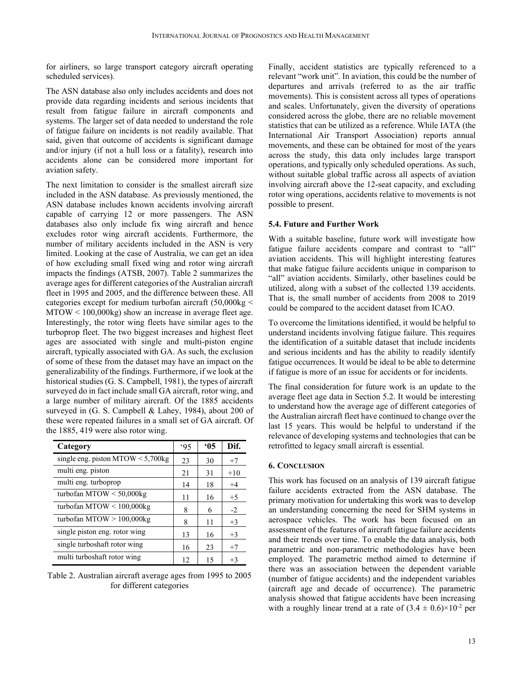for airliners, so large transport category aircraft operating scheduled services).

The ASN database also only includes accidents and does not provide data regarding incidents and serious incidents that result from fatigue failure in aircraft components and systems. The larger set of data needed to understand the role of fatigue failure on incidents is not readily available. That said, given that outcome of accidents is significant damage and/or injury (if not a hull loss or a fatality), research into accidents alone can be considered more important for aviation safety.

The next limitation to consider is the smallest aircraft size included in the ASN database. As previously mentioned, the ASN database includes known accidents involving aircraft capable of carrying 12 or more passengers. The ASN databases also only include fix wing aircraft and hence excludes rotor wing aircraft accidents. Furthermore, the number of military accidents included in the ASN is very limited. Looking at the case of Australia, we can get an idea of how excluding small fixed wing and rotor wing aircraft impacts the findings (ATSB, 2007). Table 2 summarizes the average ages for different categories of the Australian aircraft fleet in 1995 and 2005, and the difference between these. All categories except for medium turbofan aircraft (50,000kg < MTOW < 100,000kg) show an increase in average fleet age. Interestingly, the rotor wing fleets have similar ages to the turboprop fleet. The two biggest increases and highest fleet ages are associated with single and multi-piston engine aircraft, typically associated with GA. As such, the exclusion of some of these from the dataset may have an impact on the generalizability of the findings. Furthermore, if we look at the historical studies (G. S. Campbell, 1981), the types of aircraft surveyed do in fact include small GA aircraft, rotor wing, and a large number of military aircraft. Of the 1885 accidents surveyed in (G. S. Campbell & Lahey, 1984), about 200 of these were repeated failures in a small set of GA aircraft. Of the 1885, 419 were also rotor wing.

| Category                             | .95 | 05 | Dif.  |
|--------------------------------------|-----|----|-------|
| single eng. piston MTOW $< 5,700$ kg | 23  | 30 | $+7$  |
| multi eng. piston                    | 21  | 31 | $+10$ |
| multi eng. turboprop                 | 14  | 18 | $+4$  |
| turbofan MTOW < $50,000$ kg          | 11  | 16 | $+5$  |
| turbofan MTOW < $100,000$ kg         | 8   | 6  | $-2$  |
| turbofan MTOW $> 100,000$ kg         | 8   | 11 | $+3$  |
| single piston eng. rotor wing        | 13  | 16 | $+3$  |
| single turboshaft rotor wing         | 16  | 23 | $+7$  |
| multi turboshaft rotor wing          | 12  | 15 | $+3$  |

Table 2. Australian aircraft average ages from 1995 to 2005 for different categories

Finally, accident statistics are typically referenced to a relevant "work unit". In aviation, this could be the number of departures and arrivals (referred to as the air traffic movements). This is consistent across all types of operations and scales. Unfortunately, given the diversity of operations considered across the globe, there are no reliable movement statistics that can be utilized as a reference. While IATA (the International Air Transport Association) reports annual movements, and these can be obtained for most of the years across the study, this data only includes large transport operations, and typically only scheduled operations. As such, without suitable global traffic across all aspects of aviation involving aircraft above the 12-seat capacity, and excluding rotor wing operations, accidents relative to movements is not possible to present.

# **5.4. Future and Further Work**

With a suitable baseline, future work will investigate how fatigue failure accidents compare and contrast to "all" aviation accidents. This will highlight interesting features that make fatigue failure accidents unique in comparison to "all" aviation accidents. Similarly, other baselines could be utilized, along with a subset of the collected 139 accidents. That is, the small number of accidents from 2008 to 2019 could be compared to the accident dataset from ICAO.

To overcome the limitations identified, it would be helpful to understand incidents involving fatigue failure. This requires the identification of a suitable dataset that include incidents and serious incidents and has the ability to readily identify fatigue occurrences. It would be ideal to be able to determine if fatigue is more of an issue for accidents or for incidents.

The final consideration for future work is an update to the average fleet age data in Section 5.2. It would be interesting to understand how the average age of different categories of the Australian aircraft fleet have continued to change over the last 15 years. This would be helpful to understand if the relevance of developing systems and technologies that can be retrofitted to legacy small aircraft is essential.

#### **6. CONCLUSION**

This work has focused on an analysis of 139 aircraft fatigue failure accidents extracted from the ASN database. The primary motivation for undertaking this work was to develop an understanding concerning the need for SHM systems in aerospace vehicles. The work has been focused on an assessment of the features of aircraft fatigue failure accidents and their trends over time. To enable the data analysis, both parametric and non-parametric methodologies have been employed. The parametric method aimed to determine if there was an association between the dependent variable (number of fatigue accidents) and the independent variables (aircraft age and decade of occurrence). The parametric analysis showed that fatigue accidents have been increasing with a roughly linear trend at a rate of  $(3.4 \pm 0.6) \times 10^{-2}$  per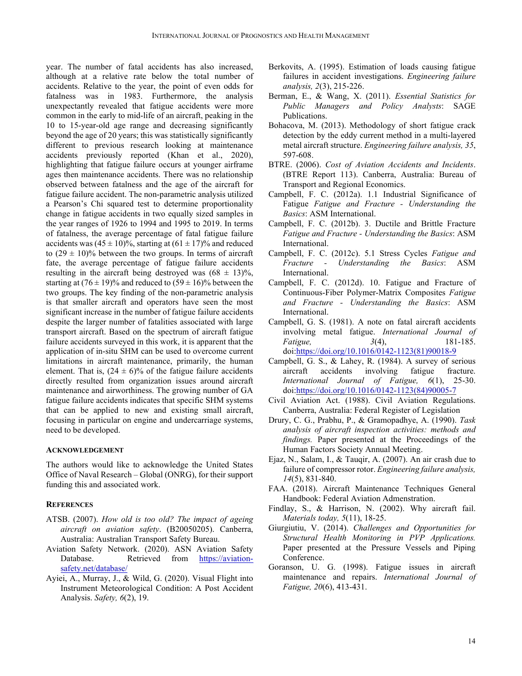year. The number of fatal accidents has also increased, although at a relative rate below the total number of accidents. Relative to the year, the point of even odds for fatalness was in 1983. Furthermore, the analysis unexpectantly revealed that fatigue accidents were more common in the early to mid-life of an aircraft, peaking in the 10 to 15-year-old age range and decreasing significantly beyond the age of 20 years; this was statistically significantly different to previous research looking at maintenance accidents previously reported (Khan et al., 2020), highlighting that fatigue failure occurs at younger airframe ages then maintenance accidents. There was no relationship observed between fatalness and the age of the aircraft for fatigue failure accident. The non-parametric analysis utilized a Pearson's Chi squared test to determine proportionality change in fatigue accidents in two equally sized samples in the year ranges of 1926 to 1994 and 1995 to 2019. In terms of fatalness, the average percentage of fatal fatigue failure accidents was  $(45 \pm 10)\%$ , starting at  $(61 \pm 17)\%$  and reduced to  $(29 \pm 10)\%$  between the two groups. In terms of aircraft fate, the average percentage of fatigue failure accidents resulting in the aircraft being destroyed was  $(68 \pm 13)\%$ , starting at  $(76 \pm 19)\%$  and reduced to  $(59 \pm 16)\%$  between the two groups. The key finding of the non-parametric analysis is that smaller aircraft and operators have seen the most significant increase in the number of fatigue failure accidents despite the larger number of fatalities associated with large transport aircraft. Based on the spectrum of aircraft fatigue failure accidents surveyed in this work, it is apparent that the application of in-situ SHM can be used to overcome current limitations in aircraft maintenance, primarily, the human element. That is,  $(24 \pm 6)\%$  of the fatigue failure accidents directly resulted from organization issues around aircraft maintenance and airworthiness. The growing number of GA fatigue failure accidents indicates that specific SHM systems that can be applied to new and existing small aircraft, focusing in particular on engine and undercarriage systems, need to be developed.

# **ACKNOWLEDGEMENT**

The authors would like to acknowledge the United States Office of Naval Research – Global (ONRG), for their support funding this and associated work.

#### **REFERENCES**

- ATSB. (2007). *How old is too old? The impact of ageing aircraft on aviation safety*. (B20050205). Canberra, Australia: Australian Transport Safety Bureau.
- Aviation Safety Network. (2020). ASN Aviation Safety Database. Retrieved from https://aviationsafety.net/database/
- Ayiei, A., Murray, J., & Wild, G. (2020). Visual Flight into Instrument Meteorological Condition: A Post Accident Analysis. *Safety, 6*(2), 19.
- Berkovits, A. (1995). Estimation of loads causing fatigue failures in accident investigations. *Engineering failure analysis, 2*(3), 215-226.
- Berman, E., & Wang, X. (2011). *Essential Statistics for Public Managers and Policy Analysts*: SAGE Publications.
- Bohacova, M. (2013). Methodology of short fatigue crack detection by the eddy current method in a multi-layered metal aircraft structure. *Engineering failure analysis, 35*, 597-608.
- BTRE. (2006). *Cost of Aviation Accidents and Incidents*. (BTRE Report 113). Canberra, Australia: Bureau of Transport and Regional Economics.
- Campbell, F. C. (2012a). 1.1 Industrial Significance of Fatigue *Fatigue and Fracture - Understanding the Basics*: ASM International.
- Campbell, F. C. (2012b). 3. Ductile and Brittle Fracture *Fatigue and Fracture - Understanding the Basics*: ASM International.
- Campbell, F. C. (2012c). 5.1 Stress Cycles *Fatigue and Fracture - Understanding the Basics*: ASM International.
- Campbell, F. C. (2012d). 10. Fatigue and Fracture of Continuous-Fiber Polymer-Matrix Composites *Fatigue and Fracture - Understanding the Basics*: ASM International.
- Campbell, G. S. (1981). A note on fatal aircraft accidents involving metal fatigue. *International Journal of Fatigue, 3*(4), 181-185. doi:https://doi.org/10.1016/0142-1123(81)90018-9
- Campbell, G. S., & Lahey, R. (1984). A survey of serious aircraft accidents involving fatigue fracture. *International Journal of Fatigue, 6*(1), 25-30. doi:https://doi.org/10.1016/0142-1123(84)90005-7
- Civil Aviation Act. (1988). Civil Aviation Regulations. Canberra, Australia: Federal Register of Legislation
- Drury, C. G., Prabhu, P., & Gramopadhye, A. (1990). *Task analysis of aircraft inspection activities: methods and findings.* Paper presented at the Proceedings of the Human Factors Society Annual Meeting.
- Ejaz, N., Salam, I., & Tauqir, A. (2007). An air crash due to failure of compressor rotor. *Engineering failure analysis, 14*(5), 831-840.
- FAA. (2018). Aircraft Maintenance Techniques General Handbook: Federal Aviation Admenstration.
- Findlay, S., & Harrison, N. (2002). Why aircraft fail. *Materials today, 5*(11), 18-25.
- Giurgiutiu, V. (2014). *Challenges and Opportunities for Structural Health Monitoring in PVP Applications.* Paper presented at the Pressure Vessels and Piping Conference.
- Goranson, U. G. (1998). Fatigue issues in aircraft maintenance and repairs. *International Journal of Fatigue, 20*(6), 413-431.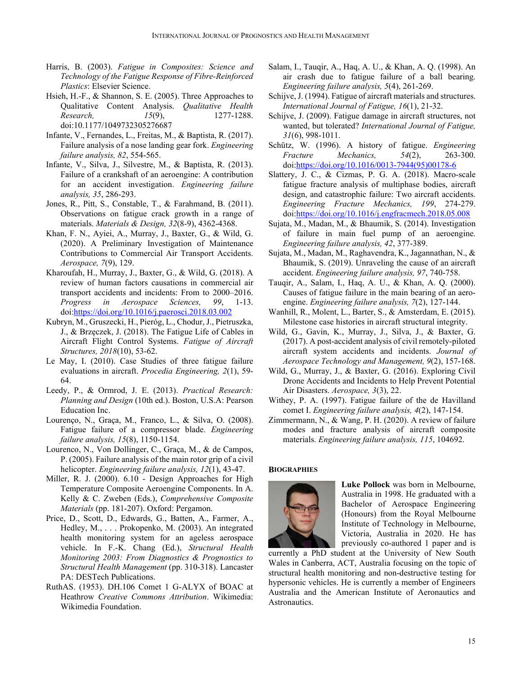- Harris, B. (2003). *Fatigue in Composites: Science and Technology of the Fatigue Response of Fibre-Reinforced Plastics*: Elsevier Science.
- Hsieh, H.-F., & Shannon, S. E. (2005). Three Approaches to Qualitative Content Analysis. *Qualitative Health Research, 15*(9), 1277-1288. doi:10.1177/1049732305276687
- Infante, V., Fernandes, L., Freitas, M., & Baptista, R. (2017). Failure analysis of a nose landing gear fork. *Engineering failure analysis, 82*, 554-565.
- Infante, V., Silva, J., Silvestre, M., & Baptista, R. (2013). Failure of a crankshaft of an aeroengine: A contribution for an accident investigation. *Engineering failure analysis, 35*, 286-293.
- Jones, R., Pitt, S., Constable, T., & Farahmand, B. (2011). Observations on fatigue crack growth in a range of materials. *Materials & Design, 32*(8-9), 4362-4368.
- Khan, F. N., Ayiei, A., Murray, J., Baxter, G., & Wild, G. (2020). A Preliminary Investigation of Maintenance Contributions to Commercial Air Transport Accidents. *Aerospace, 7*(9), 129.
- Kharoufah, H., Murray, J., Baxter, G., & Wild, G. (2018). A review of human factors causations in commercial air transport accidents and incidents: From to 2000–2016. *Progress in Aerospace Sciences, 99*, 1-13. doi:https://doi.org/10.1016/j.paerosci.2018.03.002
- Kubryn, M., Gruszecki, H., Pieróg, L., Chodur, J., Pietruszka, J., & Brzęczek, J. (2018). The Fatigue Life of Cables in Aircraft Flight Control Systems. *Fatigue of Aircraft Structures, 2018*(10), 53-62.
- Le May, I. (2010). Case Studies of three fatigue failure evaluations in aircraft. *Procedia Engineering, 2*(1), 59- 64.
- Leedy, P., & Ormrod, J. E. (2013). *Practical Research: Planning and Design* (10th ed.). Boston, U.S.A: Pearson Education Inc.
- Lourenço, N., Graça, M., Franco, L., & Silva, O. (2008). Fatigue failure of a compressor blade. *Engineering failure analysis, 15*(8), 1150-1154.
- Lourenco, N., Von Dollinger, C., Graça, M., & de Campos, P. (2005). Failure analysis of the main rotor grip of a civil helicopter. *Engineering failure analysis, 12*(1), 43-47.
- Miller, R. J. (2000). 6.10 Design Approaches for High Temperature Composite Aeroengine Components. In A. Kelly & C. Zweben (Eds.), *Comprehensive Composite Materials* (pp. 181-207). Oxford: Pergamon.
- Price, D., Scott, D., Edwards, G., Batten, A., Farmer, A., Hedley, M., . . . Prokopenko, M. (2003). An integrated health monitoring system for an ageless aerospace vehicle. In F.-K. Chang (Ed.), *Structural Health Monitoring 2003: From Diagnostics & Prognostics to Structural Health Management* (pp. 310-318). Lancaster PA: DESTech Publications.
- RuthAS. (1953). DH.106 Comet 1 G-ALYX of BOAC at Heathrow *Creative Commons Attribution*. Wikimedia: Wikimedia Foundation.
- Salam, I., Tauqir, A., Haq, A. U., & Khan, A. Q. (1998). An air crash due to fatigue failure of a ball bearing. *Engineering failure analysis, 5*(4), 261-269.
- Schijve, J. (1994). Fatigue of aircraft materials and structures. *International Journal of Fatigue, 16*(1), 21-32.
- Schijve, J. (2009). Fatigue damage in aircraft structures, not wanted, but tolerated? *International Journal of Fatigue, 31*(6), 998-1011.
- Schütz, W. (1996). A history of fatigue. *Engineering Fracture Mechanics, 54*(2), 263-300. doi:https://doi.org/10.1016/0013-7944(95)00178-6
- Slattery, J. C., & Cizmas, P. G. A. (2018). Macro-scale fatigue fracture analysis of multiphase bodies, aircraft design, and catastrophic failure: Two aircraft accidents. *Engineering Fracture Mechanics, 199*, 274-279. doi:https://doi.org/10.1016/j.engfracmech.2018.05.008
- Sujata, M., Madan, M., & Bhaumik, S. (2014). Investigation of failure in main fuel pump of an aeroengine. *Engineering failure analysis, 42*, 377-389.
- Sujata, M., Madan, M., Raghavendra, K., Jagannathan, N., & Bhaumik, S. (2019). Unraveling the cause of an aircraft accident. *Engineering failure analysis, 97*, 740-758.
- Tauqir, A., Salam, I., Haq, A. U., & Khan, A. Q. (2000). Causes of fatigue failure in the main bearing of an aeroengine. *Engineering failure analysis, 7*(2), 127-144.
- Wanhill, R., Molent, L., Barter, S., & Amsterdam, E. (2015). Milestone case histories in aircraft structural integrity.
- Wild, G., Gavin, K., Murray, J., Silva, J., & Baxter, G. (2017). A post-accident analysis of civil remotely-piloted aircraft system accidents and incidents. *Journal of Aerospace Technology and Management, 9*(2), 157-168.
- Wild, G., Murray, J., & Baxter, G. (2016). Exploring Civil Drone Accidents and Incidents to Help Prevent Potential Air Disasters. *Aerospace, 3*(3), 22.
- Withey, P. A. (1997). Fatigue failure of the de Havilland comet I. *Engineering failure analysis, 4*(2), 147-154.
- Zimmermann, N., & Wang, P. H. (2020). A review of failure modes and fracture analysis of aircraft composite materials. *Engineering failure analysis, 115*, 104692.

# **BIOGRAPHIES**



**Luke Pollock** was born in Melbourne, Australia in 1998. He graduated with a Bachelor of Aerospace Engineering (Honours) from the Royal Melbourne Institute of Technology in Melbourne, Victoria, Australia in 2020. He has previously co-authored 1 paper and is

currently a PhD student at the University of New South Wales in Canberra, ACT, Australia focusing on the topic of structural health monitoring and non-destructive testing for hypersonic vehicles. He is currently a member of Engineers Australia and the American Institute of Aeronautics and Astronautics.